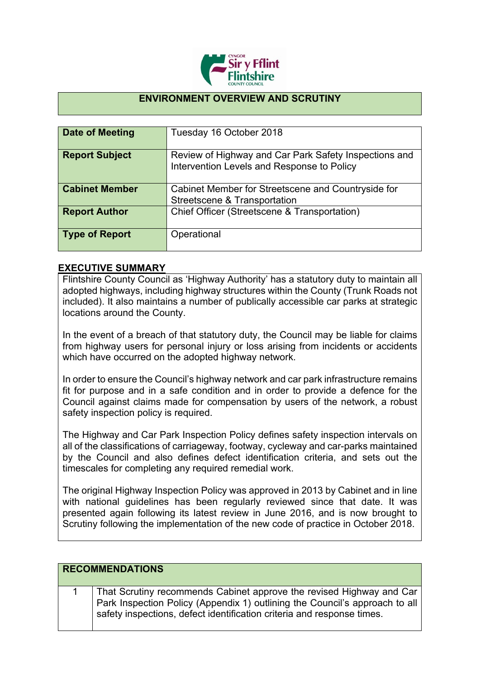

### **ENVIRONMENT OVERVIEW AND SCRUTINY**

| Date of Meeting       | Tuesday 16 October 2018                                                                             |
|-----------------------|-----------------------------------------------------------------------------------------------------|
| <b>Report Subject</b> | Review of Highway and Car Park Safety Inspections and<br>Intervention Levels and Response to Policy |
| <b>Cabinet Member</b> | Cabinet Member for Streetscene and Countryside for<br>Streetscene & Transportation                  |
| <b>Report Author</b>  | Chief Officer (Streetscene & Transportation)                                                        |
| <b>Type of Report</b> | Operational                                                                                         |

#### **EXECUTIVE SUMMARY**

Flintshire County Council as 'Highway Authority' has a statutory duty to maintain all adopted highways, including highway structures within the County (Trunk Roads not included). It also maintains a number of publically accessible car parks at strategic locations around the County.

In the event of a breach of that statutory duty, the Council may be liable for claims from highway users for personal injury or loss arising from incidents or accidents which have occurred on the adopted highway network.

In order to ensure the Council's highway network and car park infrastructure remains fit for purpose and in a safe condition and in order to provide a defence for the Council against claims made for compensation by users of the network, a robust safety inspection policy is required.

The Highway and Car Park Inspection Policy defines safety inspection intervals on all of the classifications of carriageway, footway, cycleway and car-parks maintained by the Council and also defines defect identification criteria, and sets out the timescales for completing any required remedial work.

The original Highway Inspection Policy was approved in 2013 by Cabinet and in line with national guidelines has been regularly reviewed since that date. It was presented again following its latest review in June 2016, and is now brought to Scrutiny following the implementation of the new code of practice in October 2018.

| <b>RECOMMENDATIONS</b> |  |                                                                                                                                                                                                                               |
|------------------------|--|-------------------------------------------------------------------------------------------------------------------------------------------------------------------------------------------------------------------------------|
|                        |  | That Scrutiny recommends Cabinet approve the revised Highway and Car<br>Park Inspection Policy (Appendix 1) outlining the Council's approach to all<br>safety inspections, defect identification criteria and response times. |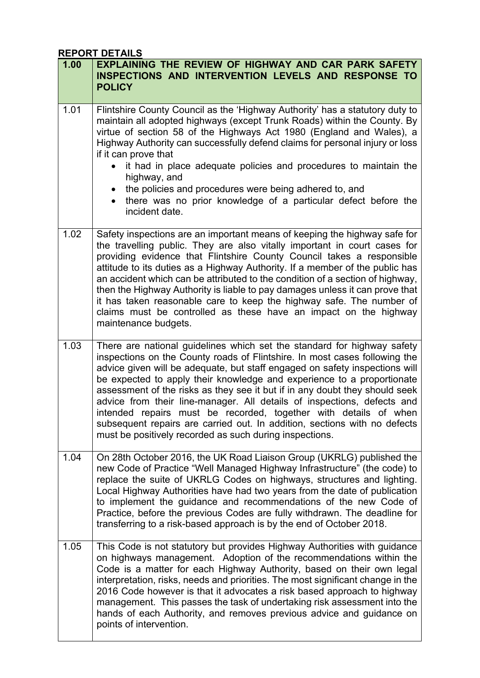# **REPORT DETAILS**

| 1.00 | EXPLAINING THE REVIEW OF HIGHWAY AND CAR PARK SAFETY<br><b>INSPECTIONS AND INTERVENTION LEVELS AND RESPONSE TO</b><br><b>POLICY</b>                                                                                                                                                                                                                                                                                                                                                                                                                                                                                                                                                  |
|------|--------------------------------------------------------------------------------------------------------------------------------------------------------------------------------------------------------------------------------------------------------------------------------------------------------------------------------------------------------------------------------------------------------------------------------------------------------------------------------------------------------------------------------------------------------------------------------------------------------------------------------------------------------------------------------------|
| 1.01 | Flintshire County Council as the 'Highway Authority' has a statutory duty to<br>maintain all adopted highways (except Trunk Roads) within the County. By<br>virtue of section 58 of the Highways Act 1980 (England and Wales), a<br>Highway Authority can successfully defend claims for personal injury or loss<br>if it can prove that<br>it had in place adequate policies and procedures to maintain the<br>highway, and<br>the policies and procedures were being adhered to, and<br>there was no prior knowledge of a particular defect before the<br>incident date.                                                                                                           |
| 1.02 | Safety inspections are an important means of keeping the highway safe for<br>the travelling public. They are also vitally important in court cases for<br>providing evidence that Flintshire County Council takes a responsible<br>attitude to its duties as a Highway Authority. If a member of the public has<br>an accident which can be attributed to the condition of a section of highway,<br>then the Highway Authority is liable to pay damages unless it can prove that<br>it has taken reasonable care to keep the highway safe. The number of<br>claims must be controlled as these have an impact on the highway<br>maintenance budgets.                                 |
| 1.03 | There are national guidelines which set the standard for highway safety<br>inspections on the County roads of Flintshire. In most cases following the<br>advice given will be adequate, but staff engaged on safety inspections will<br>be expected to apply their knowledge and experience to a proportionate<br>assessment of the risks as they see it but if in any doubt they should seek<br>advice from their line-manager. All details of inspections, defects and<br>intended repairs must be recorded, together with details of when<br>subsequent repairs are carried out. In addition, sections with no defects<br>must be positively recorded as such during inspections. |
| 1.04 | On 28th October 2016, the UK Road Liaison Group (UKRLG) published the<br>new Code of Practice "Well Managed Highway Infrastructure" (the code) to<br>replace the suite of UKRLG Codes on highways, structures and lighting.<br>Local Highway Authorities have had two years from the date of publication<br>to implement the guidance and recommendations of the new Code of<br>Practice, before the previous Codes are fully withdrawn. The deadline for<br>transferring to a risk-based approach is by the end of October 2018.                                                                                                                                                    |
| 1.05 | This Code is not statutory but provides Highway Authorities with guidance<br>on highways management. Adoption of the recommendations within the<br>Code is a matter for each Highway Authority, based on their own legal<br>interpretation, risks, needs and priorities. The most significant change in the<br>2016 Code however is that it advocates a risk based approach to highway<br>management. This passes the task of undertaking risk assessment into the<br>hands of each Authority, and removes previous advice and guidance on<br>points of intervention.                                                                                                                |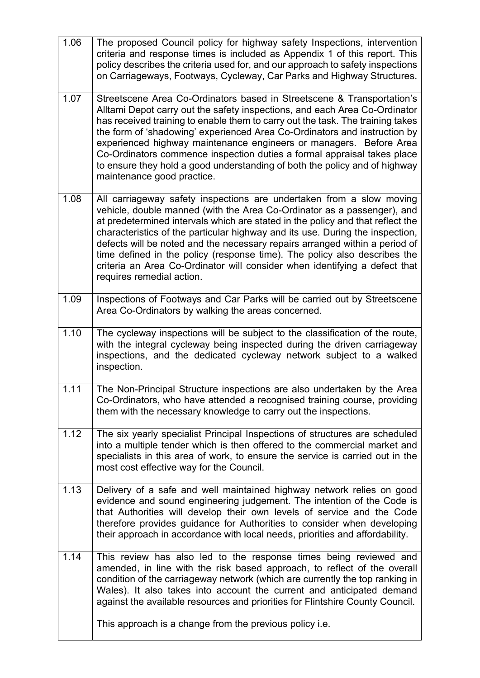| 1.06 | The proposed Council policy for highway safety Inspections, intervention<br>criteria and response times is included as Appendix 1 of this report. This<br>policy describes the criteria used for, and our approach to safety inspections<br>on Carriageways, Footways, Cycleway, Car Parks and Highway Structures.                                                                                                                                                                                                                                                                        |
|------|-------------------------------------------------------------------------------------------------------------------------------------------------------------------------------------------------------------------------------------------------------------------------------------------------------------------------------------------------------------------------------------------------------------------------------------------------------------------------------------------------------------------------------------------------------------------------------------------|
| 1.07 | Streetscene Area Co-Ordinators based in Streetscene & Transportation's<br>Alltami Depot carry out the safety inspections, and each Area Co-Ordinator<br>has received training to enable them to carry out the task. The training takes<br>the form of 'shadowing' experienced Area Co-Ordinators and instruction by<br>experienced highway maintenance engineers or managers. Before Area<br>Co-Ordinators commence inspection duties a formal appraisal takes place<br>to ensure they hold a good understanding of both the policy and of highway<br>maintenance good practice.          |
| 1.08 | All carriageway safety inspections are undertaken from a slow moving<br>vehicle, double manned (with the Area Co-Ordinator as a passenger), and<br>at predetermined intervals which are stated in the policy and that reflect the<br>characteristics of the particular highway and its use. During the inspection,<br>defects will be noted and the necessary repairs arranged within a period of<br>time defined in the policy (response time). The policy also describes the<br>criteria an Area Co-Ordinator will consider when identifying a defect that<br>requires remedial action. |
| 1.09 | Inspections of Footways and Car Parks will be carried out by Streetscene<br>Area Co-Ordinators by walking the areas concerned.                                                                                                                                                                                                                                                                                                                                                                                                                                                            |
| 1.10 | The cycleway inspections will be subject to the classification of the route,<br>with the integral cycleway being inspected during the driven carriageway<br>inspections, and the dedicated cycleway network subject to a walked<br>inspection.                                                                                                                                                                                                                                                                                                                                            |
| 1.11 | The Non-Principal Structure inspections are also undertaken by the Area<br>Co-Ordinators, who have attended a recognised training course, providing<br>them with the necessary knowledge to carry out the inspections.                                                                                                                                                                                                                                                                                                                                                                    |
| 1.12 | The six yearly specialist Principal Inspections of structures are scheduled<br>into a multiple tender which is then offered to the commercial market and<br>specialists in this area of work, to ensure the service is carried out in the<br>most cost effective way for the Council.                                                                                                                                                                                                                                                                                                     |
| 1.13 | Delivery of a safe and well maintained highway network relies on good<br>evidence and sound engineering judgement. The intention of the Code is<br>that Authorities will develop their own levels of service and the Code<br>therefore provides guidance for Authorities to consider when developing<br>their approach in accordance with local needs, priorities and affordability.                                                                                                                                                                                                      |
| 1.14 | This review has also led to the response times being reviewed and<br>amended, in line with the risk based approach, to reflect of the overall<br>condition of the carriageway network (which are currently the top ranking in<br>Wales). It also takes into account the current and anticipated demand<br>against the available resources and priorities for Flintshire County Council.                                                                                                                                                                                                   |
|      | This approach is a change from the previous policy <i>i.e.</i>                                                                                                                                                                                                                                                                                                                                                                                                                                                                                                                            |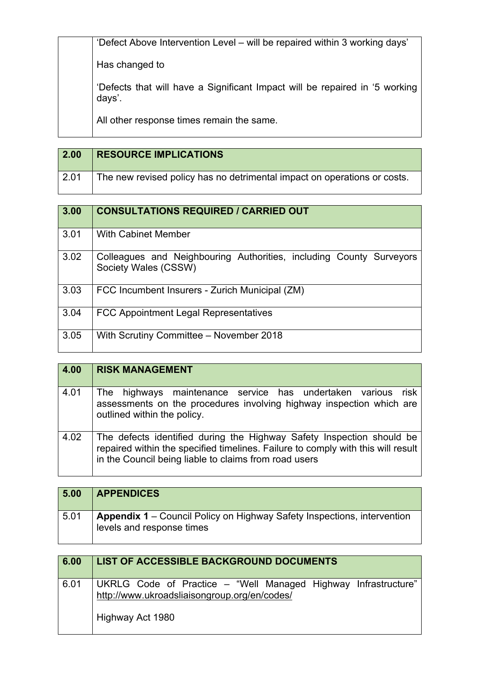'Defect Above Intervention Level – will be repaired within 3 working days' Has changed to 'Defects that will have a Significant Impact will be repaired in '5 working days'. All other response times remain the same.

| $\vert$ 2.00 | <b>RESOURCE IMPLICATIONS</b>                                             |
|--------------|--------------------------------------------------------------------------|
| $\vert$ 2.01 | The new revised policy has no detrimental impact on operations or costs. |

| 3.00 | <b>CONSULTATIONS REQUIRED / CARRIED OUT</b>                                                 |
|------|---------------------------------------------------------------------------------------------|
| 3.01 | With Cabinet Member                                                                         |
| 3.02 | Colleagues and Neighbouring Authorities, including County Surveyors<br>Society Wales (CSSW) |
| 3.03 | FCC Incumbent Insurers - Zurich Municipal (ZM)                                              |
| 3.04 | <b>FCC Appointment Legal Representatives</b>                                                |
| 3.05 | With Scrutiny Committee - November 2018                                                     |

| 4.00 | <b>RISK MANAGEMENT</b>                                                                                                                                                                                             |
|------|--------------------------------------------------------------------------------------------------------------------------------------------------------------------------------------------------------------------|
| 4.01 | The highways maintenance service has undertaken various<br>risk<br>assessments on the procedures involving highway inspection which are<br>outlined within the policy.                                             |
| 4.02 | The defects identified during the Highway Safety Inspection should be<br>repaired within the specified timelines. Failure to comply with this will result<br>in the Council being liable to claims from road users |

| 5.00 | <b>APPENDICES</b>                                                                                           |
|------|-------------------------------------------------------------------------------------------------------------|
| 5.01 | <b>Appendix 1</b> – Council Policy on Highway Safety Inspections, intervention<br>levels and response times |

| 6.00 | LIST OF ACCESSIBLE BACKGROUND DOCUMENTS                                                                                            |
|------|------------------------------------------------------------------------------------------------------------------------------------|
| 6.01 | UKRLG Code of Practice – "Well Managed Highway Infrastructure"<br>http://www.ukroadsliaisongroup.org/en/codes/<br>Highway Act 1980 |